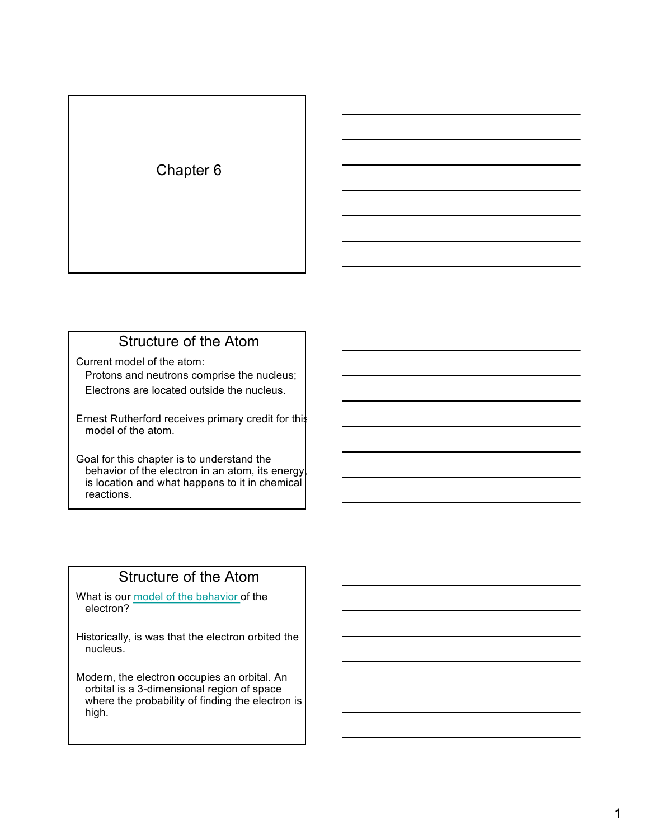### Chapter 6

### Structure of the Atom

Current model of the atom:

Protons and neutrons comprise the nucleus; Electrons are located outside the nucleus.

Ernest Rutherford receives primary credit for this model of the atom.

Goal for this chapter is to understand the behavior of the electron in an atom, its energy is location and what happens to it in chemical reactions.

### Structure of the Atom

What is our model of the behavior of the electron?

Historically, is was that the electron orbited the nucleus.

Modern, the electron occupies an orbital. An orbital is a 3-dimensional region of space where the probability of finding the electron is high.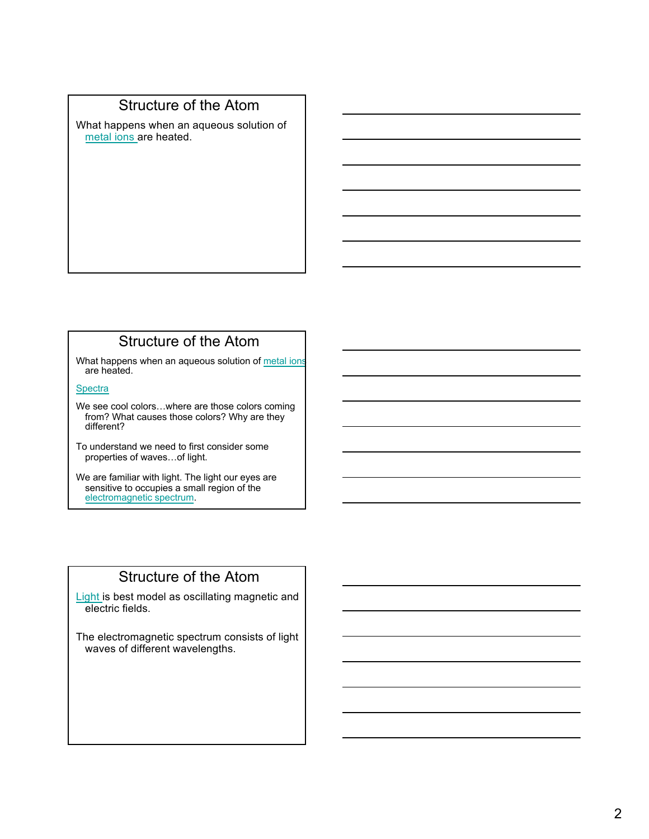### Structure of the Atom

What happens when an aqueous solution of metal ions are heated.

### Structure of the Atom

What happens when an aqueous solution of metal ions are heated.

**Spectra** 

We see cool colors…where are those colors coming from? What causes those colors? Why are they different?

To understand we need to first consider some properties of waves…of light.

We are familiar with light. The light our eyes are sensitive to occupies a small region of the electromagnetic spectrum.

### Structure of the Atom

Light is best model as oscillating magnetic and electric fields.

The electromagnetic spectrum consists of light waves of different wavelengths.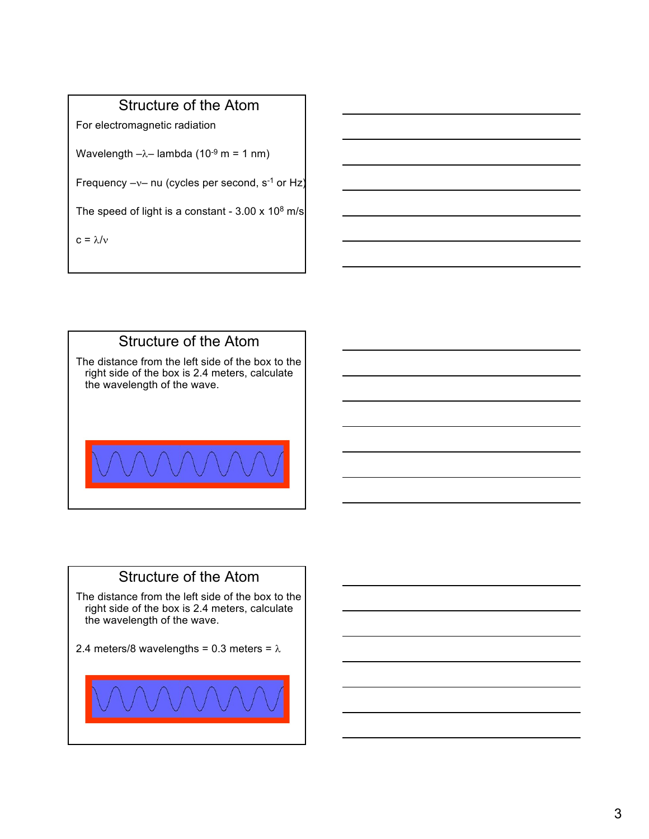### Structure of the Atom

For electromagnetic radiation

Wavelength  $-\lambda$ – lambda (10<sup>-9</sup> m = 1 nm)

Frequency  $-v-$  nu (cycles per second,  $s^{-1}$  or Hz)

The speed of light is a constant -  $3.00 \times 10^8$  m/s

 $c = \lambda/v$ 



### Structure of the Atom

The distance from the left side of the box to the right side of the box is 2.4 meters, calculate the wavelength of the wave.

2.4 meters/8 wavelengths = 0.3 meters =  $\lambda$ 

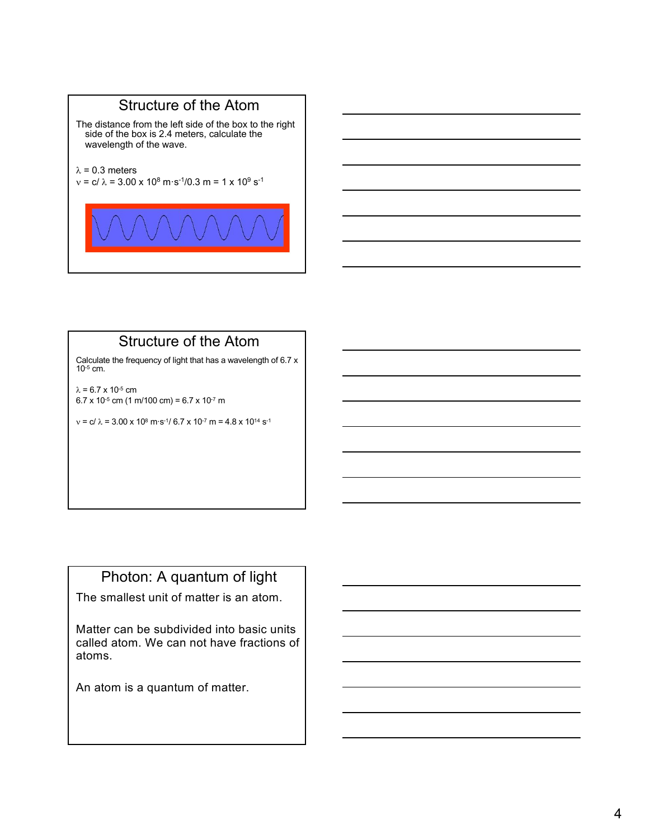### Structure of the Atom

The distance from the left side of the box to the right side of the box is 2.4 meters, calculate the wavelength of the wave.

 $\lambda$  = 0.3 meters

 $v = c/\lambda = 3.00 \times 10^8 \text{ m} \cdot \text{s}^{-1}/0.3 \text{ m} = 1 \times 10^9 \text{ s}^{-1}$ 



### Structure of the Atom

Calculate the frequency of light that has a wavelength of 6.7 x 10-5 cm.

 $\lambda = 6.7 \times 10^{-5}$  cm  $6.7 \times 10^{-5}$  cm (1 m/100 cm) = 6.7 x 10<sup>-7</sup> m

 $v = c/\lambda = 3.00 \times 10^8 \text{ m} \cdot \text{s}^{-1}/6.7 \times 10^{-7} \text{ m} = 4.8 \times 10^{14} \text{ s}^{-1}$ 

### Photon: A quantum of light

The smallest unit of matter is an atom.

Matter can be subdivided into basic units called atom. We can not have fractions of atoms.

An atom is a quantum of matter.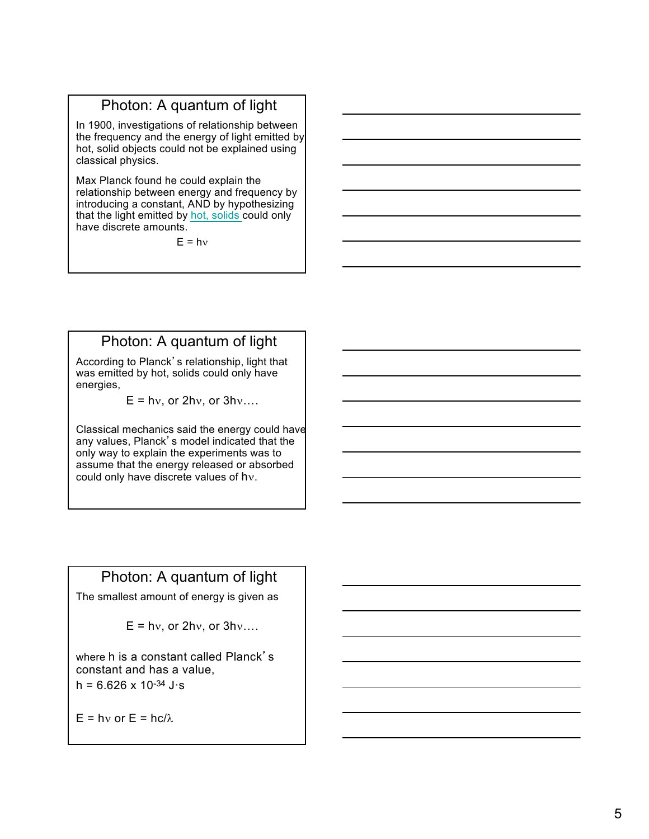In 1900, investigations of relationship between the frequency and the energy of light emitted by hot, solid objects could not be explained using classical physics.

Max Planck found he could explain the relationship between energy and frequency by introducing a constant, AND by hypothesizing that the light emitted by hot, solids could only have discrete amounts.

 $F = hv$ 

### Photon: A quantum of light

According to Planck's relationship, light that was emitted by hot, solids could only have energies,

 $E = hv$ , or  $2hv$ , or  $3hv$ ....

Classical mechanics said the energy could have any values, Planck's model indicated that the only way to explain the experiments was to assume that the energy released or absorbed could only have discrete values of  $hv$ .

### Photon: A quantum of light

The smallest amount of energy is given as

$$
E = hv
$$
, or  $2hv$ , or  $3hv$ ....

where h is a constant called Planck's constant and has a value,  $h = 6.626 \times 10^{-34}$  J·s

 $E = hv$  or  $E = hc/\lambda$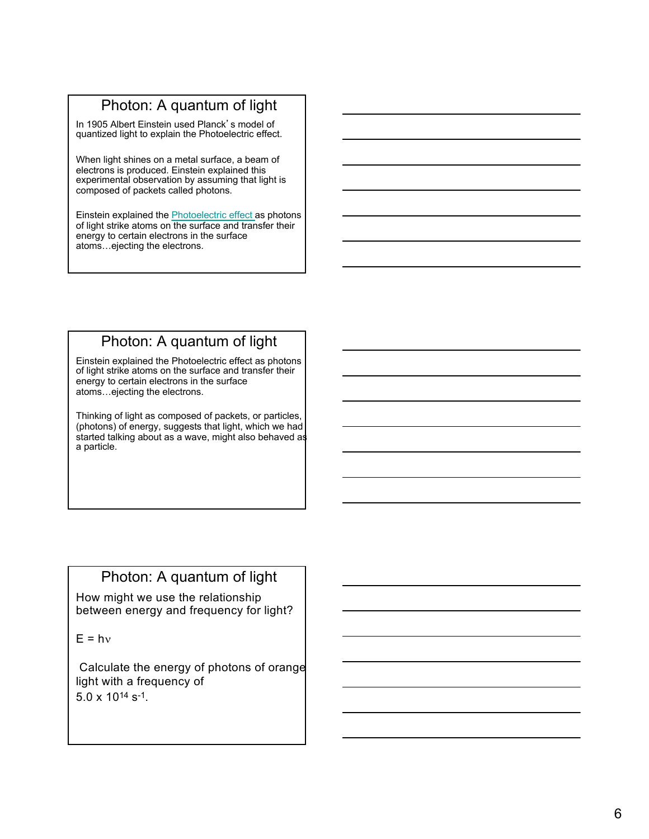In 1905 Albert Einstein used Planck's model of quantized light to explain the Photoelectric effect.

When light shines on a metal surface, a beam of electrons is produced. Einstein explained this experimental observation by assuming that light is composed of packets called photons.

Einstein explained the Photoelectric effect as photons of light strike atoms on the surface and transfer their energy to certain electrons in the surface atoms…ejecting the electrons.

### Photon: A quantum of light

Einstein explained the Photoelectric effect as photons of light strike atoms on the surface and transfer their energy to certain electrons in the surface atoms…ejecting the electrons.

Thinking of light as composed of packets, or particles, (photons) of energy, suggests that light, which we had started talking about as a wave, might also behaved as a particle.

### Photon: A quantum of light

How might we use the relationship between energy and frequency for light?

 $E = hv$ 

Calculate the energy of photons of orange light with a frequency of 5.0 x 1014 s-1.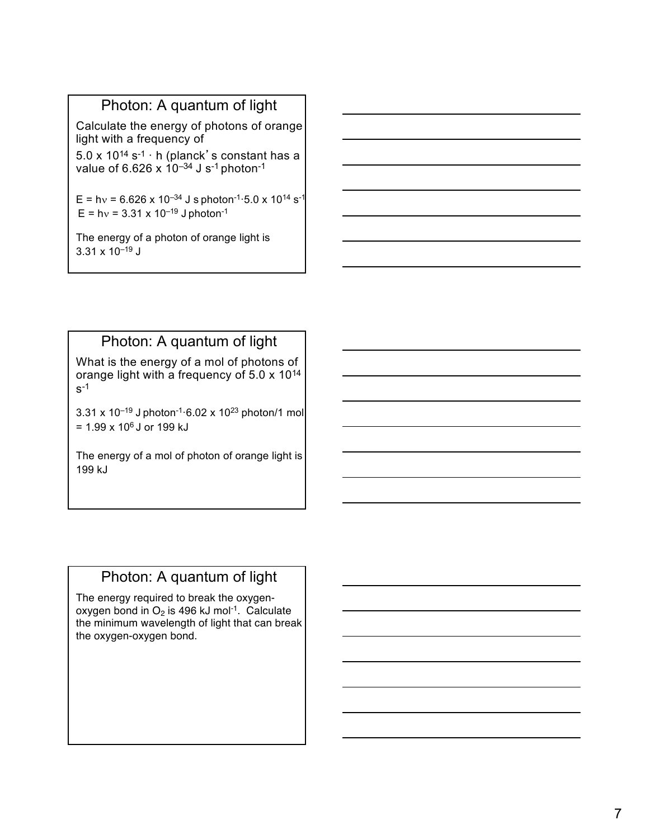Calculate the energy of photons of orange light with a frequency of

 $5.0 \times 10^{14}$  s<sup>-1</sup> · h (planck's constant has a value of 6.626 x  $10^{-34}$  J s<sup>-1</sup> photon<sup>-1</sup>

E = h $v = 6.626 \times 10^{-34}$  J s photon<sup>-1</sup>·5.0 x 10<sup>14</sup> s<sup>-1</sup>  $E = hv = 3.31 \times 10^{-19}$  J photon<sup>-1</sup>

The energy of a photon of orange light is  $3.31 \times 10^{-19}$  J

## Photon: A quantum of light

What is the energy of a mol of photons of orange light with a frequency of 5.0 x 1014  $s<sup>-1</sup>$ 

3.31 x 10<sup>-19</sup> J photon<sup>-1</sup> $\cdot$ 6.02 x 10<sup>23</sup> photon/1 mol  $= 1.99 \times 10^6$  J or 199 kJ

The energy of a mol of photon of orange light is 199 kJ

### Photon: A quantum of light

The energy required to break the oxygenoxygen bond in  $O<sub>2</sub>$  is 496 kJ mol<sup>-1</sup>. Calculate the minimum wavelength of light that can break the oxygen-oxygen bond.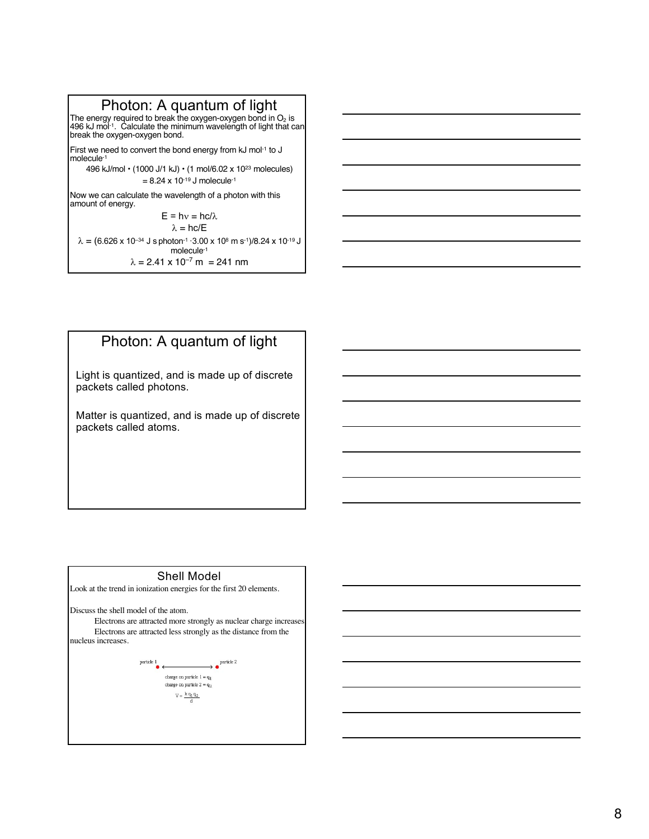The energy required to break the oxygen-oxygen bond in O<sub>2</sub> is  $\,$  |<br>496 kJ mol<sup>-1</sup>. Calculate the minimum wavelength of light that can break the oxygen-oxygen bond.

First we need to convert the bond energy from kJ mol-1 to J molecule-1

496 kJ/mol • (1000 J/1 kJ) • (1 mol/6.02 x 1023 molecules)  $= 8.24 \times 10^{-19}$  J molecule<sup>-1</sup>

Now we can calculate the wavelength of a photon with this amount of energy.

 $E = hv = hc/\lambda$  $\lambda = hc/E$  $\lambda = (6.626 \times 10^{-34} \text{ J s photon}^{-1} \cdot 3.00 \times 10^8 \text{ m s}^{-1})/8.24 \times 10^{-19} \text{ J}$ molecule-1  $\lambda = 2.41 \times 10^{-7}$  m = 241 nm

### Photon: A quantum of light

Light is quantized, and is made up of discrete packets called photons.

Matter is quantized, and is made up of discrete packets called atoms.

#### Shell Model

Look at the trend in ionization energies for the first 20 elements.

Discuss the shell model of the atom.

Electrons are attracted more strongly as nuclear charge increases; Electrons are attracted less strongly as the distance from the nucleus increases.

> $\longrightarrow \bullet$ <sup>particle 2</sup>  $\begin{picture}(180,10) \put(0,0){\line(1,0){10}} \put(10,0){\line(1,0){10}} \put(10,0){\line(1,0){10}} \put(10,0){\line(1,0){10}} \put(10,0){\line(1,0){10}} \put(10,0){\line(1,0){10}} \put(10,0){\line(1,0){10}} \put(10,0){\line(1,0){10}} \put(10,0){\line(1,0){10}} \put(10,0){\line(1,0){10}} \put(10,0){\line(1,0){10}} \put(10,0){\line($ charge on particle  $\mathbf{l}=\mathbf{q}_1$ charge on particle  $2={\rm q}_2$  $V = \frac{k q_1 q_2}{l}$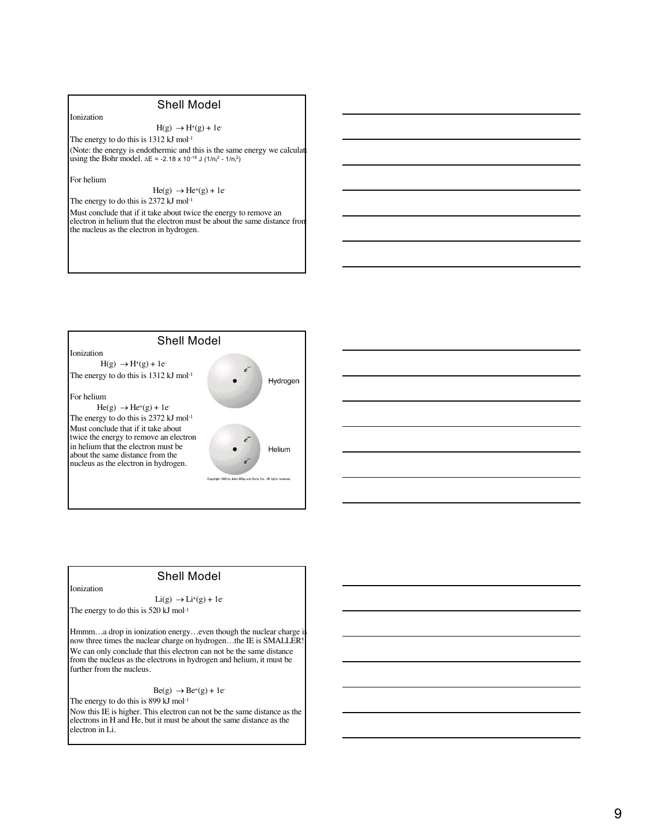#### $H(g) \rightarrow H^+(g) + 1e^-$

The energy to do this is 1312 kJ mol-1 (Note: the energy is endothermic and this is the same energy we calculat using the Bohr model.  $\Delta E = -2.18 \times 10^{-18}$  J (1/n<sub>f</sub><sup>2</sup> - 1/n<sub>i</sub><sup>2</sup>)

For helium

Ionization

 $He(g) \rightarrow He^+(g) + 1e^-$ 

The energy to do this is 2372 kJ mol<sup>-1</sup>

Must conclude that if it take about twice the energy to remove an electron in helium that the electron must be about the same distance from the nucleus as the electron in hydrogen.



#### Shell Model

Ionization

 $Li(g) \rightarrow Li^{+}(g) + 1e^{-}$ 

The energy to do this is 520 kJ mol<sup>-1</sup>

Hmmm...a drop in ionization energy...even though the nuclear charge is now three times the nuclear charge on hydrogen...the IE is SMALLER! We can only conclude that this electron can not be the same distance from the nucleus as the electrons in hydrogen and helium, it must be further from the nucleus.

 $Be(g) \rightarrow Be^{+}(g) + 1e^{-}$ 

The energy to do this is 899 kJ mol<sup>-1</sup> Now this IE is higher. This electron can not be the same distance as the electrons in H and He, but it must be about the same distance as the electron in Li.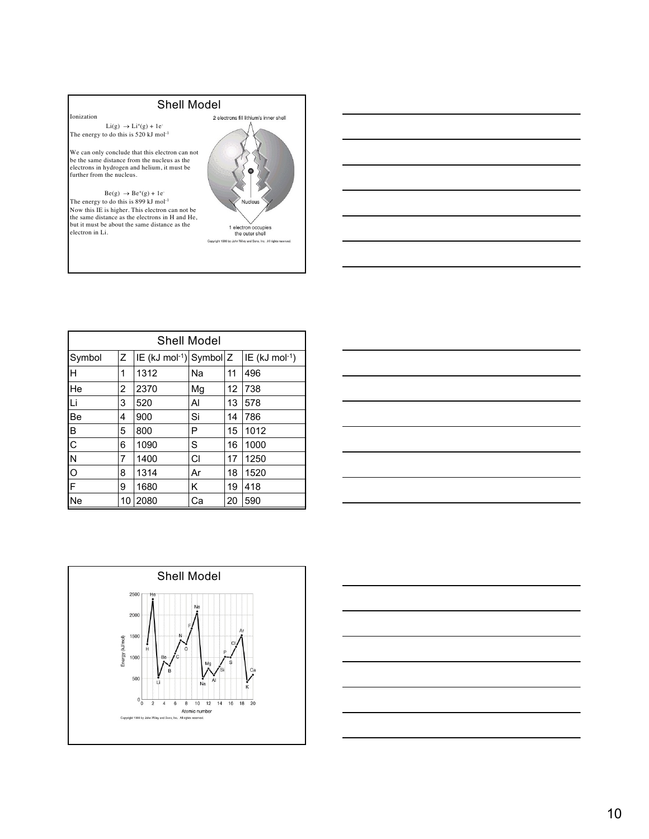Ionization  $Li(g)$   $\rightarrow Li^{+}(g) + 1e^{-}$ 

The energy to do this is 520 kJ mol<sup>-1</sup>

We can only conclude that this electron can not be the same distance from the nucleus as the electrons in hydrogen and helium, it must be further from the nucleus.

 $Be(g) \rightarrow Be^+(g) + 1e^-$ The energy to do this is 899 kJ mol<sup>-1</sup> Now this IE is higher. This electron can not be the same distance as the electrons in H and He, but it must be about the same distance as the electron in Li.



| <b>Shell Model</b>      |    |                                         |           |    |                               |  |
|-------------------------|----|-----------------------------------------|-----------|----|-------------------------------|--|
| Symbol                  | Z  | IE (kJ mol <sup>-1</sup> ) Symbol $ Z $ |           |    | $ IE$ (kJ mol <sup>-1</sup> ) |  |
| Η                       | 1  | 1312                                    | Na        | 11 | 496                           |  |
| He                      | 2  | 2370                                    | Mg        | 12 | 738                           |  |
| Li                      | 3  | 520                                     | Al        | 13 | 578                           |  |
| Be                      | 4  | 900                                     | Si        | 14 | 786                           |  |
| В                       | 5  | 800                                     | Р         | 15 | 1012                          |  |
| $\mathsf{C}$            | 6  | 1090                                    | S         | 16 | 1000                          |  |
| N                       | 7  | 1400                                    | <b>CI</b> | 17 | 1250                          |  |
| $\circ$                 | 8  | 1314                                    | Ar        | 18 | 1520                          |  |
| $\overline{\mathsf{F}}$ | 9  | 1680                                    | κ         | 19 | 418                           |  |
| Ne                      | 10 | 2080                                    | Ca        | 20 | 590                           |  |

| ____ |  |  |  |
|------|--|--|--|
|      |  |  |  |
|      |  |  |  |
|      |  |  |  |
|      |  |  |  |
|      |  |  |  |



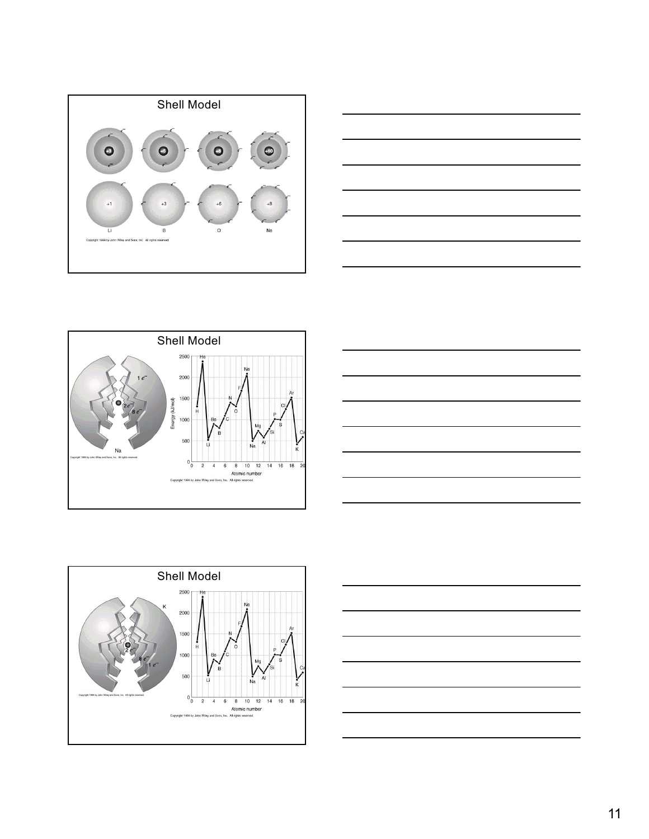









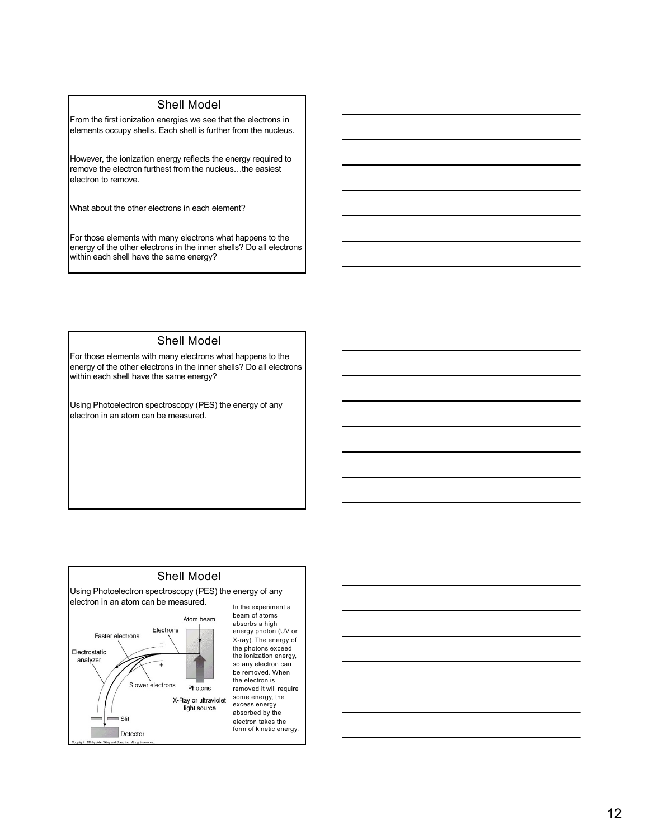From the first ionization energies we see that the electrons in elements occupy shells. Each shell is further from the nucleus.

However, the ionization energy reflects the energy required to remove the electron furthest from the nucleus…the easiest electron to remove.

What about the other electrons in each element?

For those elements with many electrons what happens to the energy of the other electrons in the inner shells? Do all electrons within each shell have the same energy?

#### Shell Model

For those elements with many electrons what happens to the energy of the other electrons in the inner shells? Do all electrons within each shell have the same energy?

Using Photoelectron spectroscopy (PES) the energy of any electron in an atom can be measured.

#### Shell Model Using Photoelectron spectroscopy (PES) the energy of any electron in an atom can be measured. beam of atoms Atom beam absorbs a high Electrons energy photon (UV or Faster electrons X-ray). The energy of the photons exceed Electrostatic the ionization energy, analyzer so any electron can Ŧ be removed. When the electron is Slower electrons Photons removed it will require some energy, the X-Ray or ultraviolet excess energy light source  $\sim$  $\equiv$  Slit

Detector

absorbed by the electron takes the form of kinetic energy.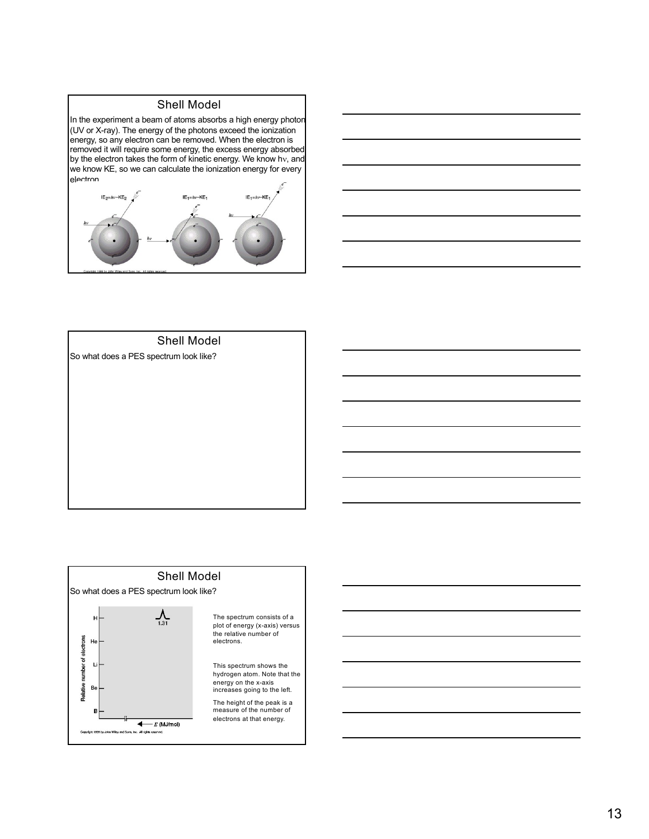In the experiment a beam of atoms absorbs a high energy photon (UV or X-ray). The energy of the photons exceed the ionization energy, so any electron can be removed. When the electron is removed it will require some energy, the excess energy absorbed by the electron takes the form of kinetic energy. We know hv, and we know KE, so we can calculate the ionization energy for every electron.





#### Shell Model

So what does a PES spectrum look like?



plot of energy (x-axis) versus

hydrogen atom. Note that the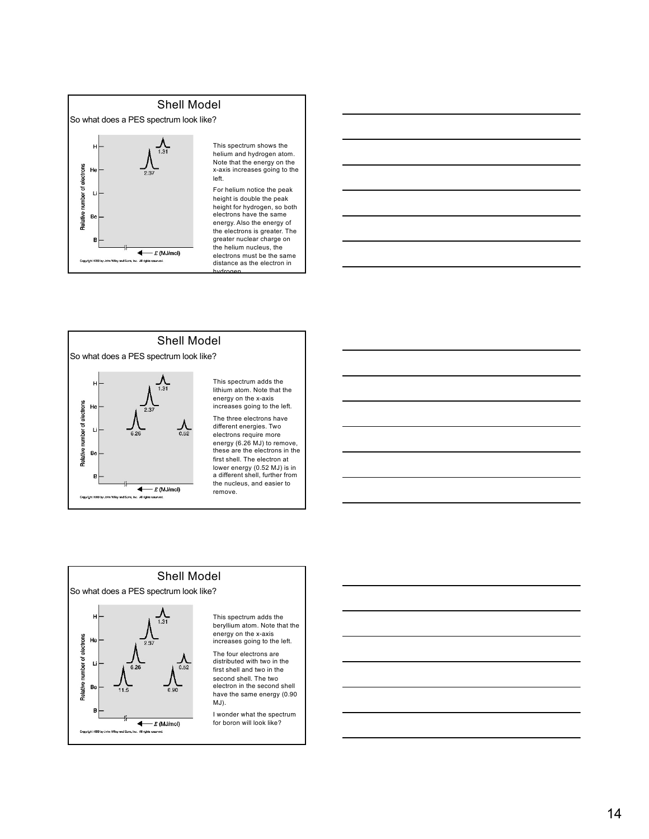

This spectrum shows the helium and hydrogen atom. Note that the energy on the x-axis increases going to the

For helium notice the peak height is double the peak height for hydrogen, so both electrons have the same energy. Also the energy of the electrons is greater. The greater nuclear charge on the helium nucleus, the electrons must be the same distance as the electron in





beryllium atom. Note that the energy on the x-axis increases going to the left.

first shell and two in the second shell. The two electron in the second shell have the same energy (0.90

for boron will look like?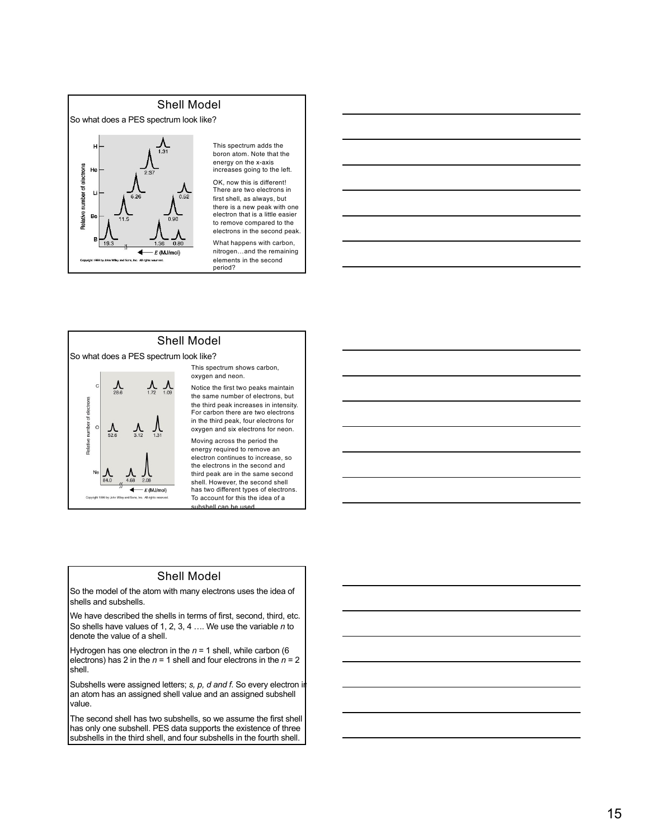# Shell Model So what does a PES spectrum look like? number of electrons H Pelative B  $\leftarrow$  E (MJ/mol)

This spectrum adds the boron atom. Note that the energy on the x-axis increases going to the left.

OK, now this is different! There are two electrons in first shell, as always, but there is a new peak with one electron that is a little easier to remove compared to the electrons in the second peak.

What happens with carbon, nitrogen…and the remaining elements in the second period?

#### Shell Model

So what does a PES spectrum look like?



This spectrum shows carbon, oxygen and neon.

Notice the first two peaks maintain the same number of electrons, but the third peak increases in intensity. For carbon there are two electrons in the third peak, four electrons for oxygen and six electrons for neon.

Moving across the period the energy required to remove an electron continues to increase, so the electrons in the second and third peak are in the same second shell. However, the second shell has two different types of electrons. To account for this the idea of a ubshell can be used

#### Shell Model

So the model of the atom with many electrons uses the idea of shells and subshells.

We have described the shells in terms of first, second, third, etc. So shells have values of 1, 2, 3, 4 …. We use the variable *n* to denote the value of a shell.

Hydrogen has one electron in the *n* = 1 shell, while carbon (6 electrons) has 2 in the  $n = 1$  shell and four electrons in the  $n = 2$ shell.

Subshells were assigned letters; *s, p, d and f*. So every electron in an atom has an assigned shell value and an assigned subshell value.

The second shell has two subshells, so we assume the first shell has only one subshell. PES data supports the existence of three subshells in the third shell, and four subshells in the fourth shell.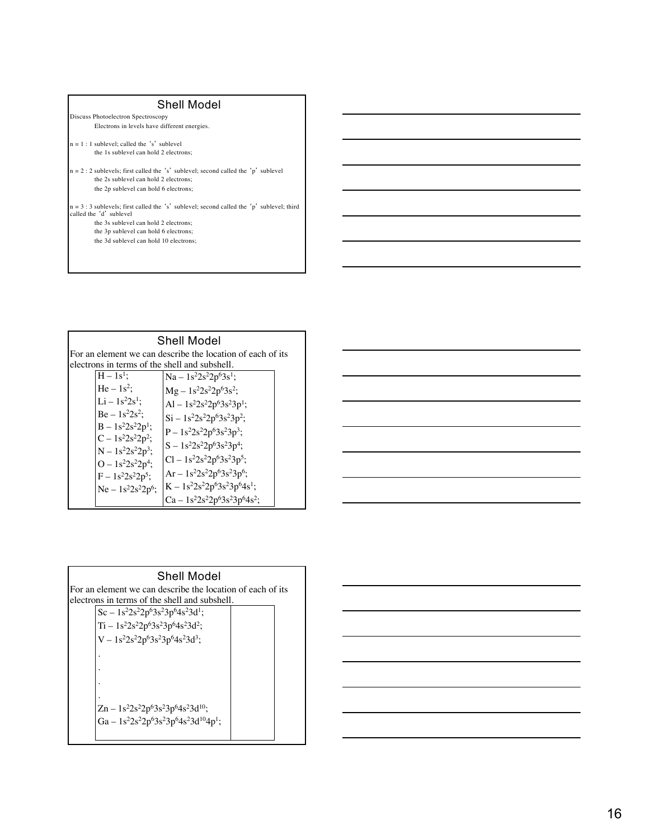- Discuss Photoelectron Spectroscopy Electrons in levels have different energies.
- $n = 1$ : 1 sublevel; called the 's' sublevel the 1s sublevel can hold 2 electrons;
- n = 2 : 2 sublevels; first called the 's' sublevel; second called the 'p' sublevel the 2s sublevel can hold 2 electrons; the 2p sublevel can hold 6 electrons;
- n = 3 : 3 sublevels; first called the 's' sublevel; second called the 'p' sublevel; third called the 'd' sublevel the 3s sublevel can hold 2 electrons;
	- the 3p sublevel can hold 6 electrons;
	- the 3d sublevel can hold 10 electrons;

| Shell Model                                                |                        |                                               |  |  |
|------------------------------------------------------------|------------------------|-----------------------------------------------|--|--|
| For an element we can describe the location of each of its |                        |                                               |  |  |
|                                                            |                        | electrons in terms of the shell and subshell. |  |  |
| $H - 1s^1$ :                                               |                        | $Na - 1s^22s^22p^63s^1;$                      |  |  |
| $He - 1s^2$ :                                              |                        | $Mg - 1s^2 2s^2 2p^6 3s^2;$                   |  |  |
|                                                            | $Li - 1s^22s^1$ :      | Al – $1s^22s^22p^63s^23p^1$ ;                 |  |  |
|                                                            | $Be - 1s^22s^2$ :      | $Si - 1s^22s^22p^63s^23p^2;$                  |  |  |
|                                                            | $B - 1s^2 2s^2 2p^1$ ; | $P - 1s^{2}2s^{2}2p^{6}3s^{2}3p^{3};$         |  |  |
|                                                            | $C - 1s^2 2s^2 2p^2$ ; | $S - 1s^22s^22p^63s^23p^4;$                   |  |  |
|                                                            | $N - 1s^2 2s^2 2p^3;$  |                                               |  |  |
|                                                            | $O - 1s^22s^22p^4;$    | $Cl - 1s^{2}2s^{2}2p^{6}3s^{2}3p^{5}$ ;       |  |  |
|                                                            | $F - 1s^22s^22p^5;$    | $Ar - 1s^2 2s^2 2p^6 3s^2 3p^6;$              |  |  |
|                                                            | $Ne - 1s^2 2s^2 2p^6;$ | $K - 1s^22s^22p^63s^23p^64s^1;$               |  |  |
|                                                            |                        | $Ca - 1s^22s^22p^63s^23p^64s^2;$              |  |  |

| and the control of the control of the control of the control of the control of the control of the control of the                                                                                                              |  |  |  |
|-------------------------------------------------------------------------------------------------------------------------------------------------------------------------------------------------------------------------------|--|--|--|
|                                                                                                                                                                                                                               |  |  |  |
|                                                                                                                                                                                                                               |  |  |  |
|                                                                                                                                                                                                                               |  |  |  |
| and the contract of the contract of the contract of the contract of the contract of the contract of the contract of                                                                                                           |  |  |  |
|                                                                                                                                                                                                                               |  |  |  |
|                                                                                                                                                                                                                               |  |  |  |
| the contract of the contract of the contract of the contract of the contract of the contract of the contract of                                                                                                               |  |  |  |
|                                                                                                                                                                                                                               |  |  |  |
|                                                                                                                                                                                                                               |  |  |  |
| and the contract of the contract of the contract of the contract of the contract of the contract of the contract of                                                                                                           |  |  |  |
|                                                                                                                                                                                                                               |  |  |  |
|                                                                                                                                                                                                                               |  |  |  |
|                                                                                                                                                                                                                               |  |  |  |
| the control of the control of the control of the control of the control of the control of the control of the control of the control of the control of the control of the control of the control of the control of the control |  |  |  |
|                                                                                                                                                                                                                               |  |  |  |
|                                                                                                                                                                                                                               |  |  |  |
| <u> Andreas Andreas Andreas Andreas Andreas Andreas Andreas Andreas Andreas Andreas Andreas Andreas Andreas Andr</u>                                                                                                          |  |  |  |
|                                                                                                                                                                                                                               |  |  |  |
|                                                                                                                                                                                                                               |  |  |  |
| the control of the control of the control of the control of the control of the control of the control of the control of the control of the control of the control of the control of the control of the control of the control |  |  |  |
|                                                                                                                                                                                                                               |  |  |  |

| Shell Model                                                |  |
|------------------------------------------------------------|--|
| For an element we can describe the location of each of its |  |
| electrons in terms of the shell and subshell.              |  |
| $Sc - 1s^22s^22p^63s^23p^64s^23d^1;$                       |  |
| $Ti - 1s^22s^22p^63s^23p^64s^23d^2;$                       |  |
| $V - 1s^{2}2s^{2}2p^{6}3s^{2}3p^{6}4s^{2}3d^{3};$          |  |
|                                                            |  |
|                                                            |  |
|                                                            |  |
|                                                            |  |
| $Zn - 1s^22s^22p^63s^23p^64s^23d^{10};$                    |  |
| Ga - $1s^22s^22p^63s^23p^64s^23d^{10}4p^1$ ;               |  |
|                                                            |  |
|                                                            |  |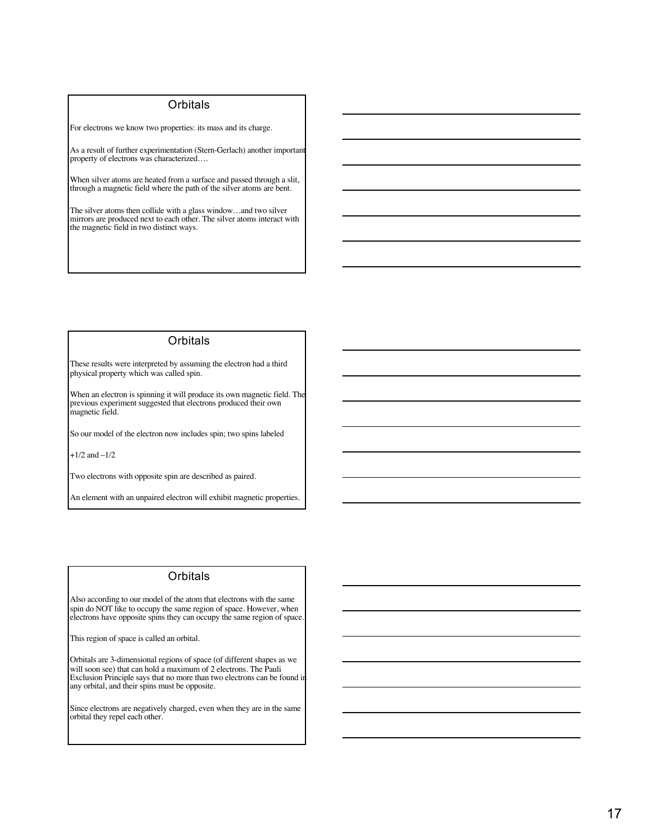#### **Orbitals**

For electrons we know two properties: its mass and its charge.

As a result of further experimentation (Stern-Gerlach) another important property of electrons was characterized….

When silver atoms are heated from a surface and passed through a slit, through a magnetic field where the path of the silver atoms are bent.

The silver atoms then collide with a glass window…and two silver mirrors are produced next to each other. The silver atoms interact with the magnetic field in two distinct ways.

#### **Orbitals**

These results were interpreted by assuming the electron had a third physical property which was called spin.

When an electron is spinning it will produce its own magnetic field. The previous experiment suggested that electrons produced their own magnetic field.

So our model of the electron now includes spin; two spins labeled

 $+1/2$  and  $-1/2$ 

Two electrons with opposite spin are described as paired.

An element with an unpaired electron will exhibit magnetic properties.

#### **Orbitals**

Also according to our model of the atom that electrons with the same spin do NOT like to occupy the same region of space. However, when electrons have opposite spins they can occupy the same region of space.

This region of space is called an orbital.

Orbitals are 3-dimensional regions of space (of different shapes as we will soon see) that can hold a maximum of 2 electrons. The Pauli Exclusion Principle says that no more than two electrons can be found in any orbital, and their spins must be opposite.

Since electrons are negatively charged, even when they are in the same orbital they repel each other.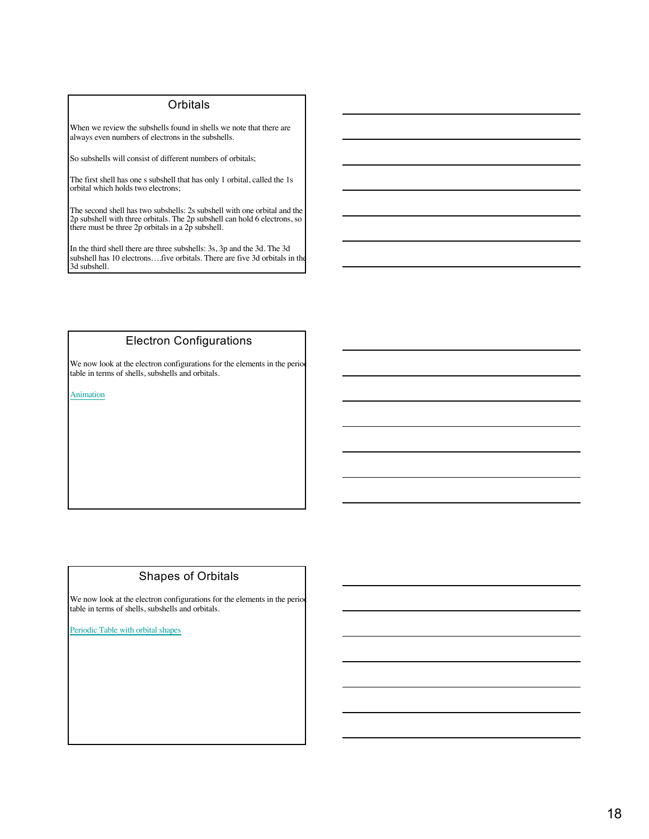#### **Orbitals**

When we review the subshells found in shells we note that there are always even numbers of electrons in the subshells.

So subshells will consist of different numbers of orbitals;

The first shell has one s subshell that has only 1 orbital, called the 1s orbital which holds two electrons;

The second shell has two subshells: 2s subshell with one orbital and the 2p subshell with three orbitals. The 2p subshell can hold 6 electrons, so there must be three 2p orbitals in a 2p subshell.

In the third shell there are three subshells: 3s, 3p and the 3d. The 3d subshell has 10 electrons….five orbitals. There are five 3d orbitals in the 3d subshell.

#### Electron Configurations

We now look at the electron configurations for the elements in the period table in terms of shells, subshells and orbitals.

Animation

#### Shapes of Orbitals

We now look at the electron configurations for the elements in the period table in terms of shells, subshells and orbitals.

Periodic Table with orbital shapes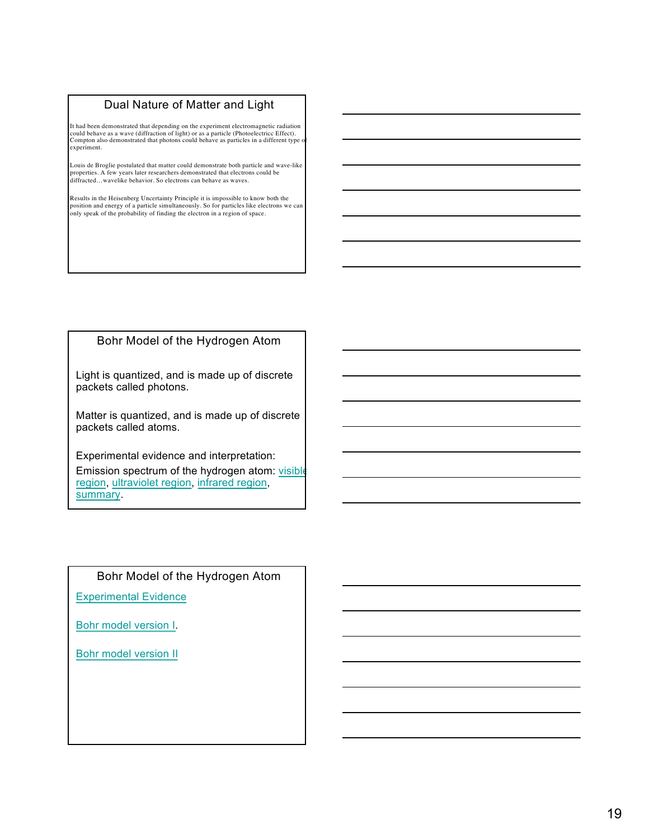#### Dual Nature of Matter and Light

It had been demonstrated that depending on the experiment electromagnetic radiation<br>could behave as a wave (diffraction of light) or as a particle (Photoelectricc Effect).<br>Compton also demonstrated that photons could behav experiment.

Louis de Broglie postulated that matter could demonstrate both particle and wave-like properties. A few years later researchers demonstrated that electrons could be diffracted…wavelike behavior. So electrons can behave as waves.

Results in the Heisenberg Uncertainty Principle it is impossible to know both the position and energy of a particle simultaneously. So for particles like electrons we can only speak of the probability of finding the electron in a region of space.

#### Bohr Model of the Hydrogen Atom

Light is quantized, and is made up of discrete packets called photons.

Matter is quantized, and is made up of discrete packets called atoms.

Experimental evidence and interpretation: Emission spectrum of the hydrogen atom: visible region, ultraviolet region, infrared region, summary.

#### Bohr Model of the Hydrogen Atom

Experimental Evidence

Bohr model version I.

Bohr model version II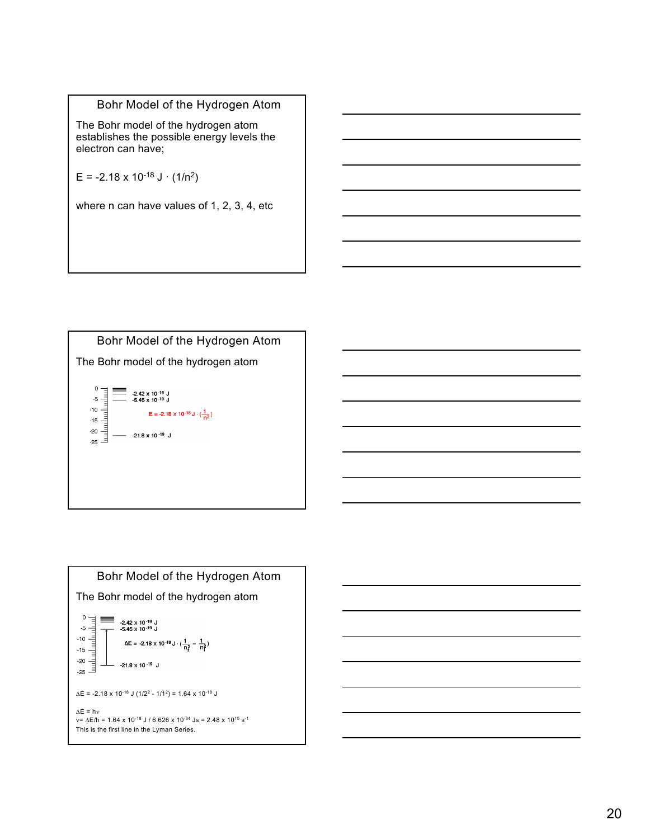#### Bohr Model of the Hydrogen Atom

The Bohr model of the hydrogen atom establishes the possible energy levels the electron can have;

 $E = -2.18 \times 10^{-18} \text{ J} \cdot (1/\text{n}^2)$ 

where n can have values of 1, 2, 3, 4, etc

Bohr Model of the Hydrogen Atom The Bohr model of the hydrogen atom  $\begin{tabular}{cc} b' & b' & b' & b' & c' \\ \hline\hline\hline\end{tabular}$ ≡ -2.42 x 10<sup>-19</sup> J<br>-5.45 x 10<sup>-19</sup> J E = -2.18 x 10<sup>-18</sup> J ·  $\left(\frac{1}{n^2}\right)$  $-$  -21.8 x 10<sup>-19</sup> J